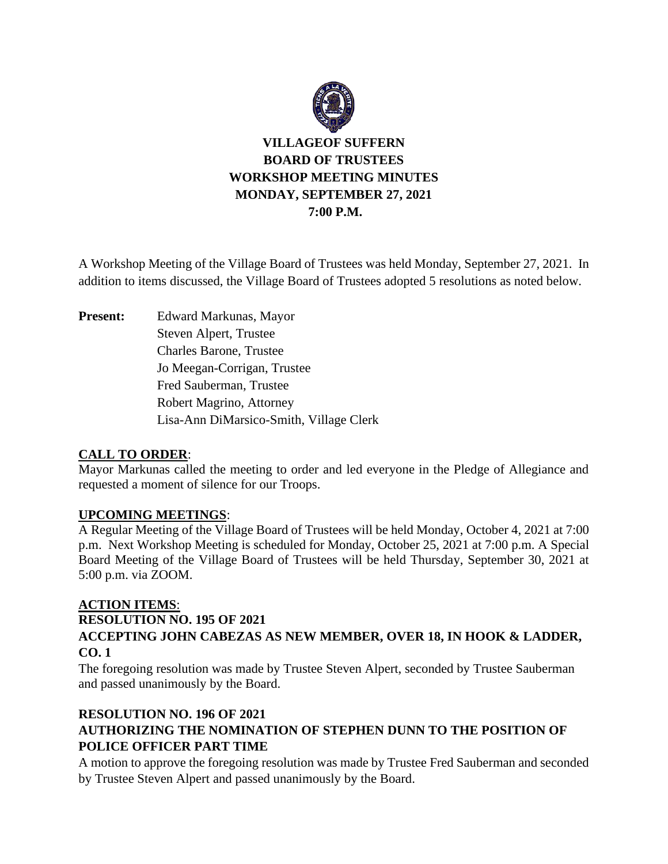

# **VILLAGEOF SUFFERN BOARD OF TRUSTEES WORKSHOP MEETING MINUTES MONDAY, SEPTEMBER 27, 2021 7:00 P.M.**

A Workshop Meeting of the Village Board of Trustees was held Monday, September 27, 2021. In addition to items discussed, the Village Board of Trustees adopted 5 resolutions as noted below.

**Present:** Edward Markunas, Mayor Steven Alpert, Trustee Charles Barone, Trustee Jo Meegan-Corrigan, Trustee Fred Sauberman, Trustee Robert Magrino, Attorney Lisa-Ann DiMarsico-Smith, Village Clerk

### **CALL TO ORDER**:

Mayor Markunas called the meeting to order and led everyone in the Pledge of Allegiance and requested a moment of silence for our Troops.

### **UPCOMING MEETINGS**:

A Regular Meeting of the Village Board of Trustees will be held Monday, October 4, 2021 at 7:00 p.m. Next Workshop Meeting is scheduled for Monday, October 25, 2021 at 7:00 p.m. A Special Board Meeting of the Village Board of Trustees will be held Thursday, September 30, 2021 at 5:00 p.m. via ZOOM.

### **ACTION ITEMS**:

**RESOLUTION NO. 195 OF 2021**

## **ACCEPTING JOHN CABEZAS AS NEW MEMBER, OVER 18, IN HOOK & LADDER, CO. 1**

The foregoing resolution was made by Trustee Steven Alpert, seconded by Trustee Sauberman and passed unanimously by the Board.

## **RESOLUTION NO. 196 OF 2021 AUTHORIZING THE NOMINATION OF STEPHEN DUNN TO THE POSITION OF POLICE OFFICER PART TIME**

A motion to approve the foregoing resolution was made by Trustee Fred Sauberman and seconded by Trustee Steven Alpert and passed unanimously by the Board.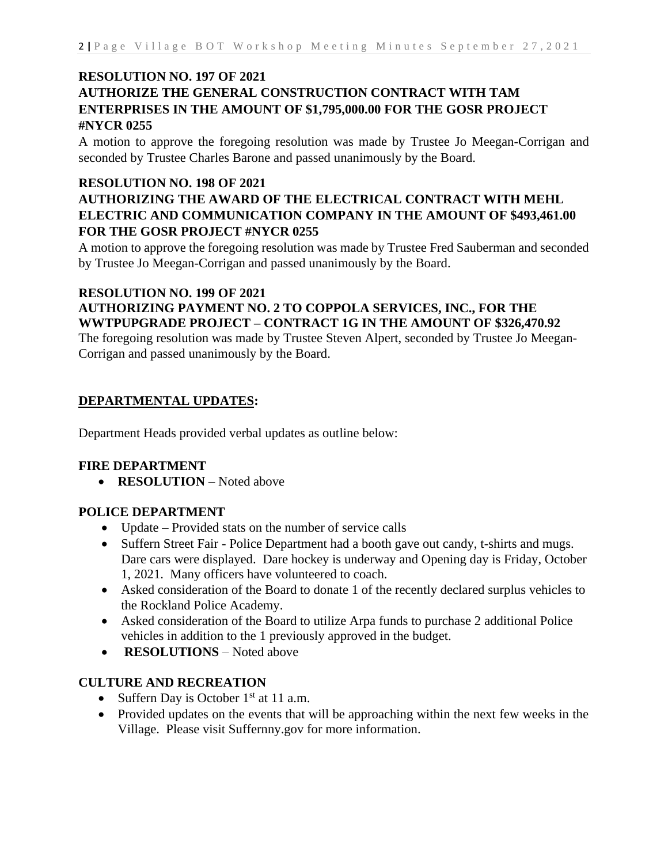## **RESOLUTION NO. 197 OF 2021 AUTHORIZE THE GENERAL CONSTRUCTION CONTRACT WITH TAM ENTERPRISES IN THE AMOUNT OF \$1,795,000.00 FOR THE GOSR PROJECT #NYCR 0255**

A motion to approve the foregoing resolution was made by Trustee Jo Meegan-Corrigan and seconded by Trustee Charles Barone and passed unanimously by the Board.

### **RESOLUTION NO. 198 OF 2021**

## **AUTHORIZING THE AWARD OF THE ELECTRICAL CONTRACT WITH MEHL ELECTRIC AND COMMUNICATION COMPANY IN THE AMOUNT OF \$493,461.00 FOR THE GOSR PROJECT #NYCR 0255**

A motion to approve the foregoing resolution was made by Trustee Fred Sauberman and seconded by Trustee Jo Meegan-Corrigan and passed unanimously by the Board.

### **RESOLUTION NO. 199 OF 2021 AUTHORIZING PAYMENT NO. 2 TO COPPOLA SERVICES, INC., FOR THE WWTPUPGRADE PROJECT – CONTRACT 1G IN THE AMOUNT OF \$326,470.92**

The foregoing resolution was made by Trustee Steven Alpert, seconded by Trustee Jo Meegan-Corrigan and passed unanimously by the Board.

### **DEPARTMENTAL UPDATES:**

Department Heads provided verbal updates as outline below:

### **FIRE DEPARTMENT**

• **RESOLUTION** – Noted above

### **POLICE DEPARTMENT**

- Update Provided stats on the number of service calls
- Suffern Street Fair Police Department had a booth gave out candy, t-shirts and mugs. Dare cars were displayed. Dare hockey is underway and Opening day is Friday, October 1, 2021. Many officers have volunteered to coach.
- Asked consideration of the Board to donate 1 of the recently declared surplus vehicles to the Rockland Police Academy.
- Asked consideration of the Board to utilize Arpa funds to purchase 2 additional Police vehicles in addition to the 1 previously approved in the budget.
- **RESOLUTIONS** Noted above

### **CULTURE AND RECREATION**

- Suffern Day is October  $1<sup>st</sup>$  at 11 a.m.
- Provided updates on the events that will be approaching within the next few weeks in the Village. Please visit Suffernny.gov for more information.